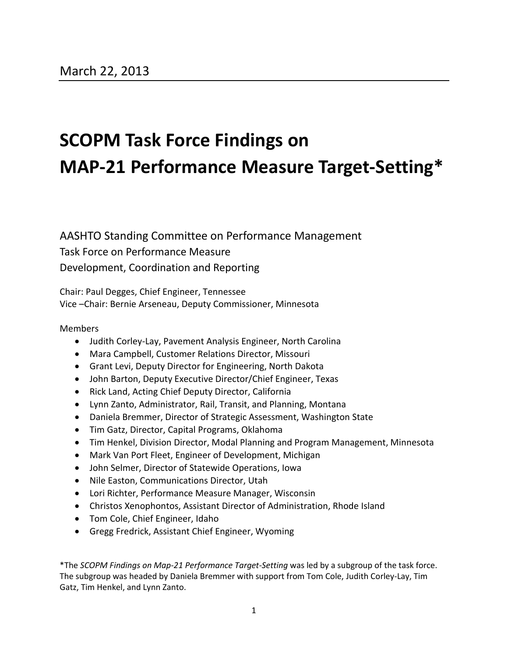## **SCOPM Task Force Findings on MAP-21 Performance Measure Target-Setting\***

AASHTO Standing Committee on Performance Management Task Force on Performance Measure Development, Coordination and Reporting

Chair: Paul Degges, Chief Engineer, Tennessee Vice –Chair: Bernie Arseneau, Deputy Commissioner, Minnesota

#### Members

- Judith Corley-Lay, Pavement Analysis Engineer, North Carolina
- Mara Campbell, Customer Relations Director, Missouri
- Grant Levi, Deputy Director for Engineering, North Dakota
- John Barton, Deputy Executive Director/Chief Engineer, Texas
- Rick Land, Acting Chief Deputy Director, California
- Lynn Zanto, Administrator, Rail, Transit, and Planning, Montana
- Daniela Bremmer, Director of Strategic Assessment, Washington State
- Tim Gatz, Director, Capital Programs, Oklahoma
- Tim Henkel, Division Director, Modal Planning and Program Management, Minnesota
- Mark Van Port Fleet, Engineer of Development, Michigan
- John Selmer, Director of Statewide Operations, Iowa
- Nile Easton, Communications Director, Utah
- Lori Richter, Performance Measure Manager, Wisconsin
- Christos Xenophontos, Assistant Director of Administration, Rhode Island
- Tom Cole, Chief Engineer, Idaho
- Gregg Fredrick, Assistant Chief Engineer, Wyoming

\*The *SCOPM Findings on Map-21 Performance Target-Setting* was led by a subgroup of the task force. The subgroup was headed by Daniela Bremmer with support from Tom Cole, Judith Corley-Lay, Tim Gatz, Tim Henkel, and Lynn Zanto.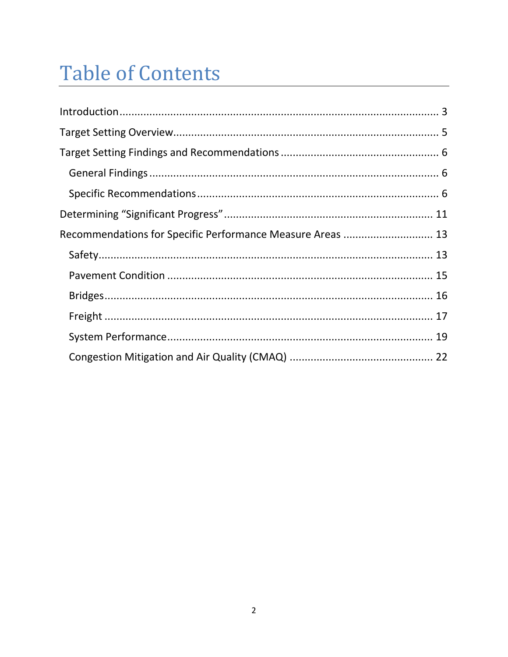# **Table of Contents**

| Recommendations for Specific Performance Measure Areas  13 |  |
|------------------------------------------------------------|--|
|                                                            |  |
|                                                            |  |
|                                                            |  |
|                                                            |  |
|                                                            |  |
|                                                            |  |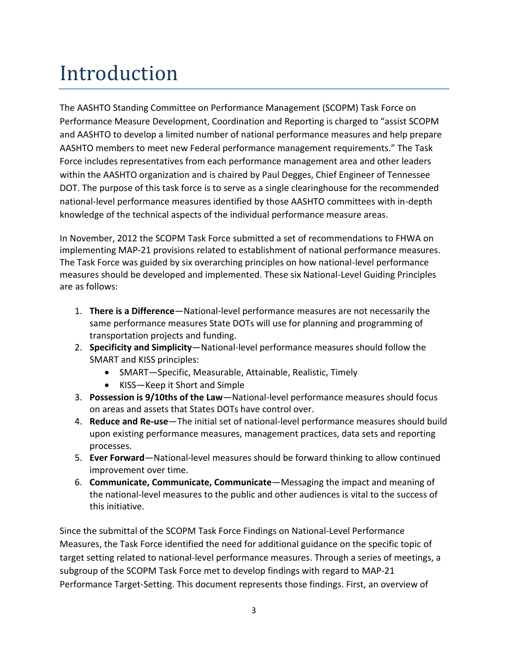## <span id="page-2-0"></span>Introduction

The AASHTO Standing Committee on Performance Management (SCOPM) Task Force on Performance Measure Development, Coordination and Reporting is charged to "assist SCOPM and AASHTO to develop a limited number of national performance measures and help prepare AASHTO members to meet new Federal performance management requirements." The Task Force includes representatives from each performance management area and other leaders within the AASHTO organization and is chaired by Paul Degges, Chief Engineer of Tennessee DOT. The purpose of this task force is to serve as a single clearinghouse for the recommended national-level performance measures identified by those AASHTO committees with in-depth knowledge of the technical aspects of the individual performance measure areas.

In November, 2012 the SCOPM Task Force submitted a set of recommendations to FHWA on implementing MAP-21 provisions related to establishment of national performance measures. The Task Force was guided by six overarching principles on how national-level performance measures should be developed and implemented. These six National-Level Guiding Principles are as follows:

- 1. **There is a Difference**—National-level performance measures are not necessarily the same performance measures State DOTs will use for planning and programming of transportation projects and funding.
- 2. **Specificity and Simplicity**—National-level performance measures should follow the SMART and KISS principles:
	- SMART—Specific, Measurable, Attainable, Realistic, Timely
	- KISS—Keep it Short and Simple
- 3. **Possession is 9/10ths of the Law**—National-level performance measures should focus on areas and assets that States DOTs have control over.
- 4. **Reduce and Re-use**—The initial set of national-level performance measures should build upon existing performance measures, management practices, data sets and reporting processes.
- 5. **Ever Forward**—National-level measures should be forward thinking to allow continued improvement over time.
- 6. **Communicate, Communicate, Communicate**—Messaging the impact and meaning of the national-level measures to the public and other audiences is vital to the success of this initiative.

Since the submittal of the SCOPM Task Force Findings on National-Level Performance Measures, the Task Force identified the need for additional guidance on the specific topic of target setting related to national-level performance measures. Through a series of meetings, a subgroup of the SCOPM Task Force met to develop findings with regard to MAP-21 Performance Target-Setting. This document represents those findings. First, an overview of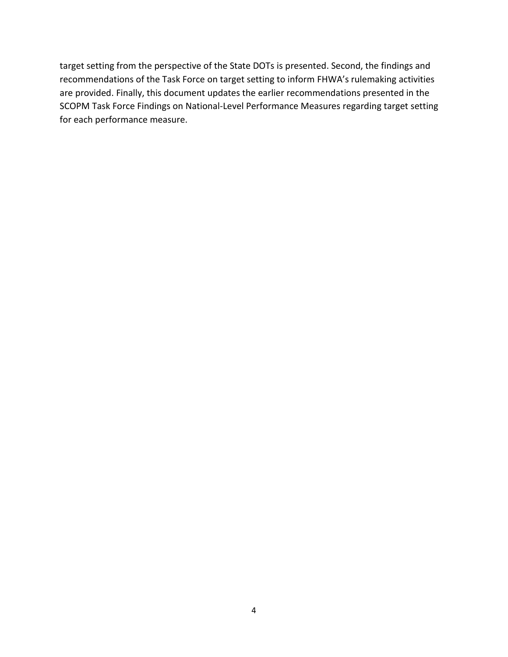target setting from the perspective of the State DOTs is presented. Second, the findings and recommendations of the Task Force on target setting to inform FHWA's rulemaking activities are provided. Finally, this document updates the earlier recommendations presented in the SCOPM Task Force Findings on National-Level Performance Measures regarding target setting for each performance measure.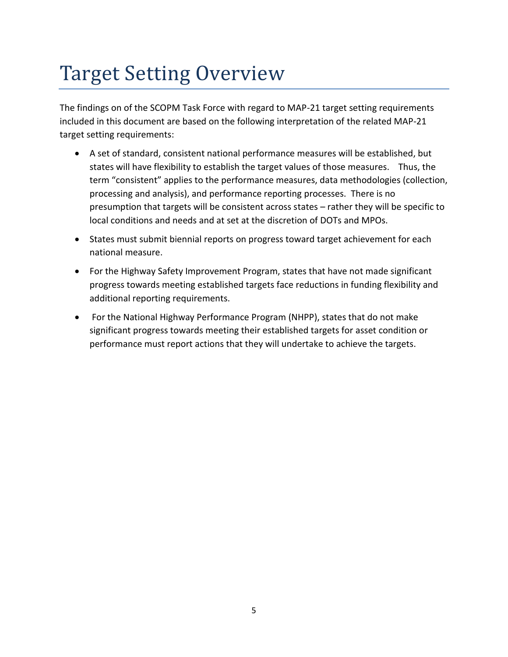# <span id="page-4-0"></span>Target Setting Overview

The findings on of the SCOPM Task Force with regard to MAP-21 target setting requirements included in this document are based on the following interpretation of the related MAP-21 target setting requirements:

- A set of standard, consistent national performance measures will be established, but states will have flexibility to establish the target values of those measures. Thus, the term "consistent" applies to the performance measures, data methodologies (collection, processing and analysis), and performance reporting processes. There is no presumption that targets will be consistent across states – rather they will be specific to local conditions and needs and at set at the discretion of DOTs and MPOs.
- States must submit biennial reports on progress toward target achievement for each national measure.
- For the Highway Safety Improvement Program, states that have not made significant progress towards meeting established targets face reductions in funding flexibility and additional reporting requirements.
- For the National Highway Performance Program (NHPP), states that do not make significant progress towards meeting their established targets for asset condition or performance must report actions that they will undertake to achieve the targets.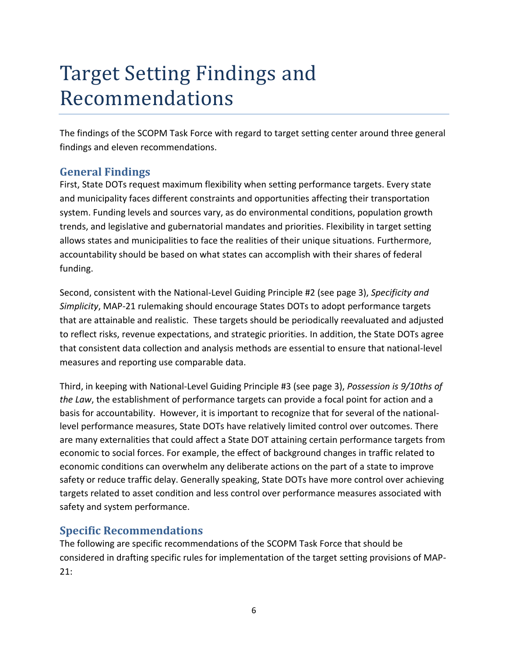## <span id="page-5-0"></span>Target Setting Findings and Recommendations

The findings of the SCOPM Task Force with regard to target setting center around three general findings and eleven recommendations.

### <span id="page-5-1"></span>**General Findings**

First, State DOTs request maximum flexibility when setting performance targets. Every state and municipality faces different constraints and opportunities affecting their transportation system. Funding levels and sources vary, as do environmental conditions, population growth trends, and legislative and gubernatorial mandates and priorities. Flexibility in target setting allows states and municipalities to face the realities of their unique situations. Furthermore, accountability should be based on what states can accomplish with their shares of federal funding.

Second, consistent with the National-Level Guiding Principle #2 (see page 3), *Specificity and Simplicity*, MAP-21 rulemaking should encourage States DOTs to adopt performance targets that are attainable and realistic. These targets should be periodically reevaluated and adjusted to reflect risks, revenue expectations, and strategic priorities. In addition, the State DOTs agree that consistent data collection and analysis methods are essential to ensure that national-level measures and reporting use comparable data.

Third, in keeping with National-Level Guiding Principle #3 (see page 3), *Possession is 9/10ths of the Law*, the establishment of performance targets can provide a focal point for action and a basis for accountability. However, it is important to recognize that for several of the nationallevel performance measures, State DOTs have relatively limited control over outcomes. There are many externalities that could affect a State DOT attaining certain performance targets from economic to social forces. For example, the effect of background changes in traffic related to economic conditions can overwhelm any deliberate actions on the part of a state to improve safety or reduce traffic delay. Generally speaking, State DOTs have more control over achieving targets related to asset condition and less control over performance measures associated with safety and system performance.

### <span id="page-5-2"></span>**Specific Recommendations**

The following are specific recommendations of the SCOPM Task Force that should be considered in drafting specific rules for implementation of the target setting provisions of MAP-21: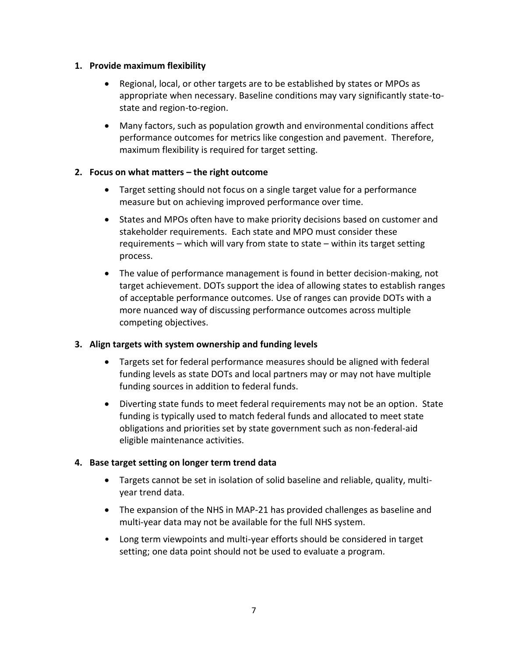#### **1. Provide maximum flexibility**

- Regional, local, or other targets are to be established by states or MPOs as appropriate when necessary. Baseline conditions may vary significantly state-tostate and region-to-region.
- Many factors, such as population growth and environmental conditions affect performance outcomes for metrics like congestion and pavement. Therefore, maximum flexibility is required for target setting.

#### **2. Focus on what matters – the right outcome**

- Target setting should not focus on a single target value for a performance measure but on achieving improved performance over time.
- States and MPOs often have to make priority decisions based on customer and stakeholder requirements. Each state and MPO must consider these requirements – which will vary from state to state – within its target setting process.
- The value of performance management is found in better decision-making, not target achievement. DOTs support the idea of allowing states to establish ranges of acceptable performance outcomes. Use of ranges can provide DOTs with a more nuanced way of discussing performance outcomes across multiple competing objectives.

#### **3. Align targets with system ownership and funding levels**

- Targets set for federal performance measures should be aligned with federal funding levels as state DOTs and local partners may or may not have multiple funding sources in addition to federal funds.
- Diverting state funds to meet federal requirements may not be an option. State funding is typically used to match federal funds and allocated to meet state obligations and priorities set by state government such as non-federal-aid eligible maintenance activities.

#### **4. Base target setting on longer term trend data**

- Targets cannot be set in isolation of solid baseline and reliable, quality, multiyear trend data.
- The expansion of the NHS in MAP-21 has provided challenges as baseline and multi-year data may not be available for the full NHS system.
- Long term viewpoints and multi-year efforts should be considered in target setting; one data point should not be used to evaluate a program.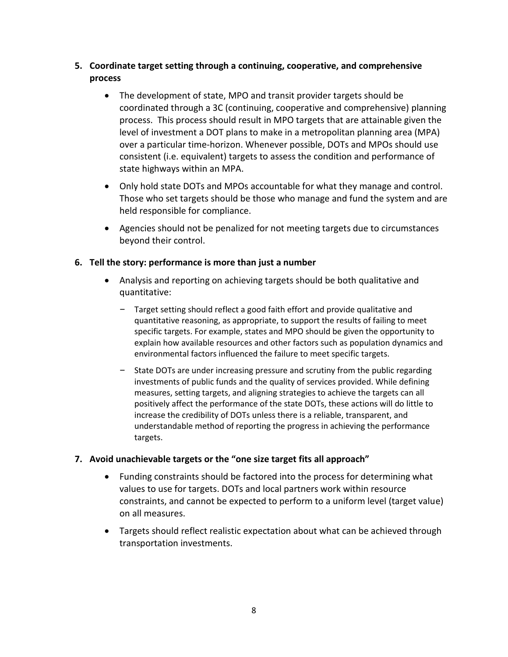#### **5. Coordinate target setting through a continuing, cooperative, and comprehensive process**

- The development of state, MPO and transit provider targets should be coordinated through a 3C (continuing, cooperative and comprehensive) planning process. This process should result in MPO targets that are attainable given the level of investment a DOT plans to make in a metropolitan planning area (MPA) over a particular time-horizon. Whenever possible, DOTs and MPOs should use consistent (i.e. equivalent) targets to assess the condition and performance of state highways within an MPA.
- Only hold state DOTs and MPOs accountable for what they manage and control. Those who set targets should be those who manage and fund the system and are held responsible for compliance.
- Agencies should not be penalized for not meeting targets due to circumstances beyond their control.

#### **6. Tell the story: performance is more than just a number**

- Analysis and reporting on achieving targets should be both qualitative and quantitative:
	- Target setting should reflect a good faith effort and provide qualitative and quantitative reasoning, as appropriate, to support the results of failing to meet specific targets. For example, states and MPO should be given the opportunity to explain how available resources and other factors such as population dynamics and environmental factors influenced the failure to meet specific targets.
	- State DOTs are under increasing pressure and scrutiny from the public regarding investments of public funds and the quality of services provided. While defining measures, setting targets, and aligning strategies to achieve the targets can all positively affect the performance of the state DOTs, these actions will do little to increase the credibility of DOTs unless there is a reliable, transparent, and understandable method of reporting the progress in achieving the performance targets.

#### **7. Avoid unachievable targets or the "one size target fits all approach"**

- Funding constraints should be factored into the process for determining what values to use for targets. DOTs and local partners work within resource constraints, and cannot be expected to perform to a uniform level (target value) on all measures.
- Targets should reflect realistic expectation about what can be achieved through transportation investments.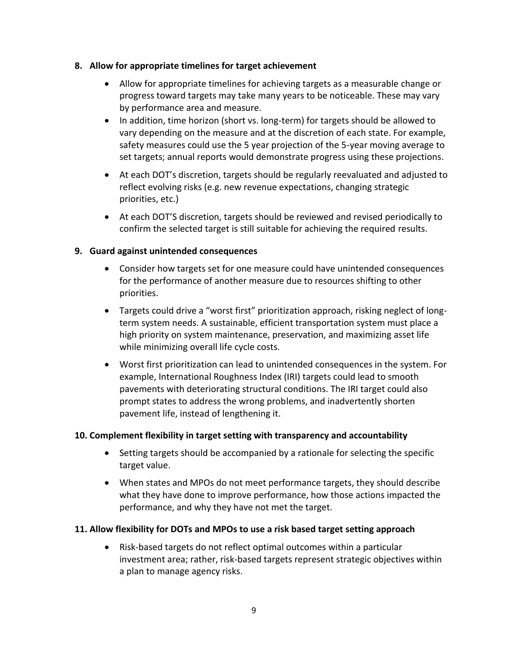#### **8. Allow for appropriate timelines for target achievement**

- Allow for appropriate timelines for achieving targets as a measurable change or progress toward targets may take many years to be noticeable. These may vary by performance area and measure.
- In addition, time horizon (short vs. long-term) for targets should be allowed to vary depending on the measure and at the discretion of each state. For example, safety measures could use the 5 year projection of the 5-year moving average to set targets; annual reports would demonstrate progress using these projections.
- At each DOT's discretion, targets should be regularly reevaluated and adjusted to reflect evolving risks (e.g. new revenue expectations, changing strategic priorities, etc.)
- At each DOT'S discretion, targets should be reviewed and revised periodically to confirm the selected target is still suitable for achieving the required results.

#### **9. Guard against unintended consequences**

- Consider how targets set for one measure could have unintended consequences for the performance of another measure due to resources shifting to other priorities.
- Targets could drive a "worst first" prioritization approach, risking neglect of longterm system needs. A sustainable, efficient transportation system must place a high priority on system maintenance, preservation, and maximizing asset life while minimizing overall life cycle costs.
- Worst first prioritization can lead to unintended consequences in the system. For example, International Roughness Index (IRI) targets could lead to smooth pavements with deteriorating structural conditions. The IRI target could also prompt states to address the wrong problems, and inadvertently shorten pavement life, instead of lengthening it.

#### **10. Complement flexibility in target setting with transparency and accountability**

- Setting targets should be accompanied by a rationale for selecting the specific target value.
- When states and MPOs do not meet performance targets, they should describe what they have done to improve performance, how those actions impacted the performance, and why they have not met the target.

#### **11. Allow flexibility for DOTs and MPOs to use a risk based target setting approach**

 Risk-based targets do not reflect optimal outcomes within a particular investment area; rather, risk-based targets represent strategic objectives within a plan to manage agency risks.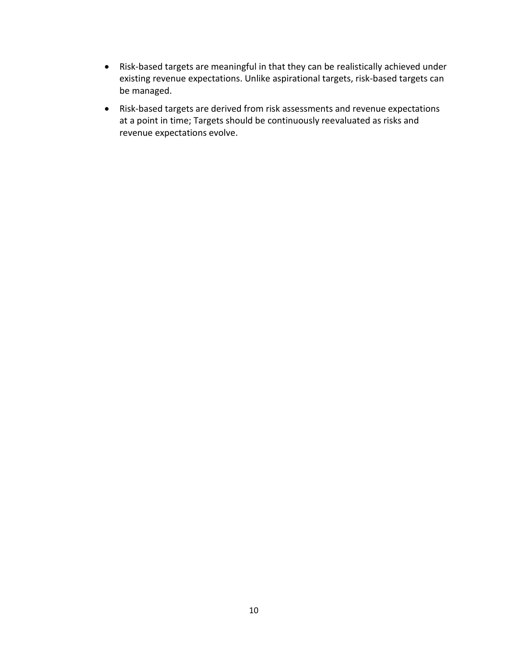- Risk-based targets are meaningful in that they can be realistically achieved under existing revenue expectations. Unlike aspirational targets, risk-based targets can be managed.
- Risk-based targets are derived from risk assessments and revenue expectations at a point in time; Targets should be continuously reevaluated as risks and revenue expectations evolve.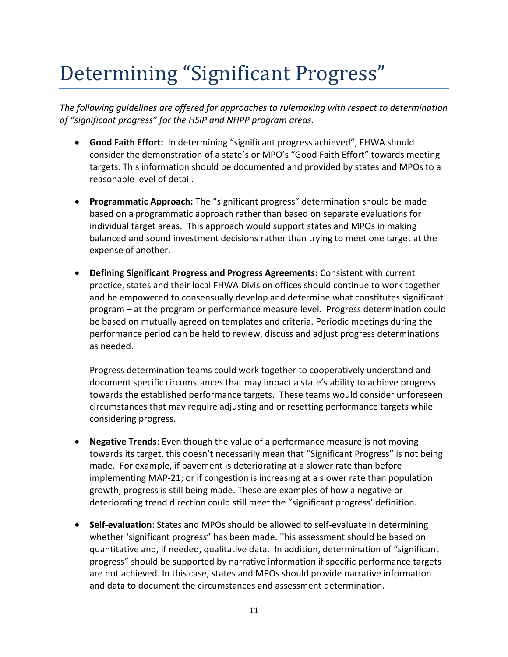# <span id="page-10-0"></span>Determining "Significant Progress"

*The following guidelines are offered for approaches to rulemaking with respect to determination of "significant progress" for the HSIP and NHPP program areas.*

- **Good Faith Effort:** In determining "significant progress achieved", FHWA should consider the demonstration of a state's or MPO's "Good Faith Effort" towards meeting targets. This information should be documented and provided by states and MPOs to a reasonable level of detail.
- **Programmatic Approach:** The "significant progress" determination should be made based on a programmatic approach rather than based on separate evaluations for individual target areas. This approach would support states and MPOs in making balanced and sound investment decisions rather than trying to meet one target at the expense of another.
- **Defining Significant Progress and Progress Agreements:** Consistent with current practice, states and their local FHWA Division offices should continue to work together and be empowered to consensually develop and determine what constitutes significant program – at the program or performance measure level. Progress determination could be based on mutually agreed on templates and criteria. Periodic meetings during the performance period can be held to review, discuss and adjust progress determinations as needed.

Progress determination teams could work together to cooperatively understand and document specific circumstances that may impact a state's ability to achieve progress towards the established performance targets. These teams would consider unforeseen circumstances that may require adjusting and or resetting performance targets while considering progress.

- **Negative Trends**: Even though the value of a performance measure is not moving towards its target, this doesn't necessarily mean that "Significant Progress" is not being made. For example, if pavement is deteriorating at a slower rate than before implementing MAP-21; or if congestion is increasing at a slower rate than population growth, progress is still being made. These are examples of how a negative or deteriorating trend direction could still meet the "significant progress' definition.
- **Self-evaluation**: States and MPOs should be allowed to self-evaluate in determining whether 'significant progress" has been made. This assessment should be based on quantitative and, if needed, qualitative data. In addition, determination of "significant progress" should be supported by narrative information if specific performance targets are not achieved. In this case, states and MPOs should provide narrative information and data to document the circumstances and assessment determination.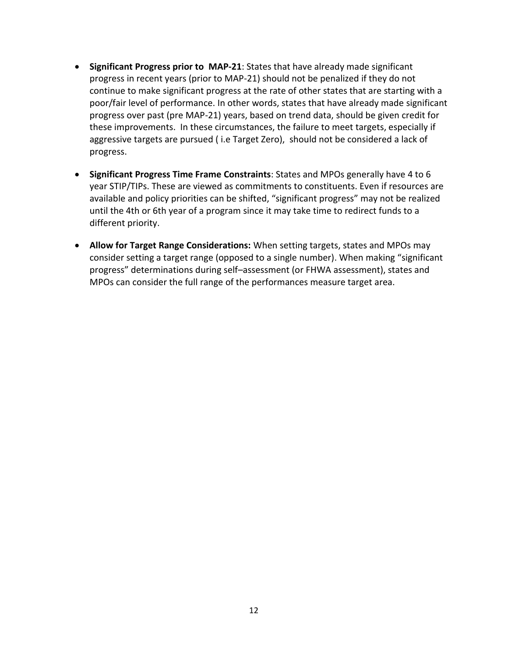- **Significant Progress prior to MAP-21**: States that have already made significant progress in recent years (prior to MAP-21) should not be penalized if they do not continue to make significant progress at the rate of other states that are starting with a poor/fair level of performance. In other words, states that have already made significant progress over past (pre MAP-21) years, based on trend data, should be given credit for these improvements. In these circumstances, the failure to meet targets, especially if aggressive targets are pursued ( i.e Target Zero), should not be considered a lack of progress.
- **Significant Progress Time Frame Constraints**: States and MPOs generally have 4 to 6 year STIP/TIPs. These are viewed as commitments to constituents. Even if resources are available and policy priorities can be shifted, "significant progress" may not be realized until the 4th or 6th year of a program since it may take time to redirect funds to a different priority.
- **Allow for Target Range Considerations:** When setting targets, states and MPOs may consider setting a target range (opposed to a single number). When making "significant progress" determinations during self–assessment (or FHWA assessment), states and MPOs can consider the full range of the performances measure target area.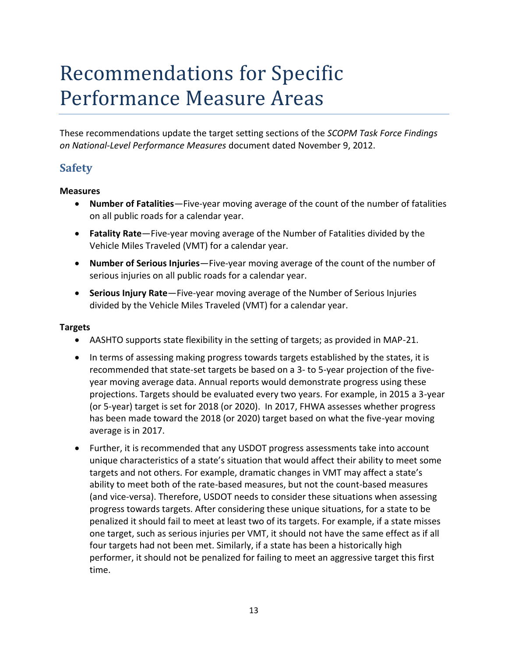## <span id="page-12-0"></span>Recommendations for Specific Performance Measure Areas

These recommendations update the target setting sections of the *SCOPM Task Force Findings on National-Level Performance Measures* document dated November 9, 2012.

### <span id="page-12-1"></span>**Safety**

#### **Measures**

- **Number of Fatalities**—Five-year moving average of the count of the number of fatalities on all public roads for a calendar year.
- **Fatality Rate**—Five-year moving average of the Number of Fatalities divided by the Vehicle Miles Traveled (VMT) for a calendar year.
- **Number of Serious Injuries**—Five-year moving average of the count of the number of serious injuries on all public roads for a calendar year.
- **Serious Injury Rate**—Five-year moving average of the Number of Serious Injuries divided by the Vehicle Miles Traveled (VMT) for a calendar year.

#### **Targets**

- AASHTO supports state flexibility in the setting of targets; as provided in MAP-21.
- In terms of assessing making progress towards targets established by the states, it is recommended that state-set targets be based on a 3- to 5-year projection of the fiveyear moving average data. Annual reports would demonstrate progress using these projections. Targets should be evaluated every two years. For example, in 2015 a 3-year (or 5-year) target is set for 2018 (or 2020). In 2017, FHWA assesses whether progress has been made toward the 2018 (or 2020) target based on what the five-year moving average is in 2017.
- Further, it is recommended that any USDOT progress assessments take into account unique characteristics of a state's situation that would affect their ability to meet some targets and not others. For example, dramatic changes in VMT may affect a state's ability to meet both of the rate-based measures, but not the count-based measures (and vice-versa). Therefore, USDOT needs to consider these situations when assessing progress towards targets. After considering these unique situations, for a state to be penalized it should fail to meet at least two of its targets. For example, if a state misses one target, such as serious injuries per VMT, it should not have the same effect as if all four targets had not been met. Similarly, if a state has been a historically high performer, it should not be penalized for failing to meet an aggressive target this first time.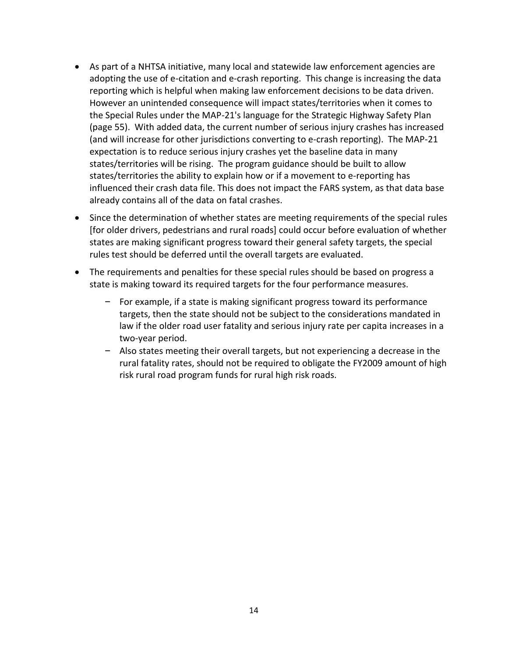- As part of a NHTSA initiative, many local and statewide law enforcement agencies are adopting the use of e-citation and e-crash reporting. This change is increasing the data reporting which is helpful when making law enforcement decisions to be data driven. However an unintended consequence will impact states/territories when it comes to the Special Rules under the MAP-21's language for the Strategic Highway Safety Plan (page 55). With added data, the current number of serious injury crashes has increased (and will increase for other jurisdictions converting to e-crash reporting). The MAP-21 expectation is to reduce serious injury crashes yet the baseline data in many states/territories will be rising. The program guidance should be built to allow states/territories the ability to explain how or if a movement to e-reporting has influenced their crash data file. This does not impact the FARS system, as that data base already contains all of the data on fatal crashes.
- Since the determination of whether states are meeting requirements of the special rules [for older drivers, pedestrians and rural roads] could occur before evaluation of whether states are making significant progress toward their general safety targets, the special rules test should be deferred until the overall targets are evaluated.
- The requirements and penalties for these special rules should be based on progress a state is making toward its required targets for the four performance measures.
	- For example, if a state is making significant progress toward its performance targets, then the state should not be subject to the considerations mandated in law if the older road user fatality and serious injury rate per capita increases in a two-year period.
	- Also states meeting their overall targets, but not experiencing a decrease in the rural fatality rates, should not be required to obligate the FY2009 amount of high risk rural road program funds for rural high risk roads.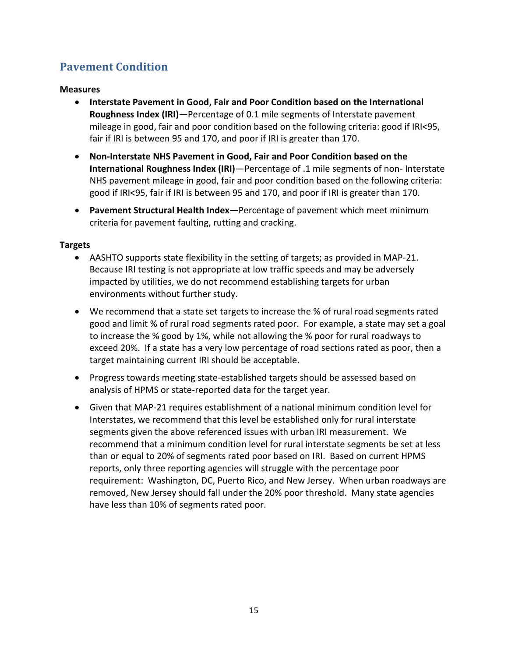### <span id="page-14-0"></span>**Pavement Condition**

#### **Measures**

- **Interstate Pavement in Good, Fair and Poor Condition based on the International Roughness Index (IRI)**—Percentage of 0.1 mile segments of Interstate pavement mileage in good, fair and poor condition based on the following criteria: good if IRI<95, fair if IRI is between 95 and 170, and poor if IRI is greater than 170.
- **Non-Interstate NHS Pavement in Good, Fair and Poor Condition based on the International Roughness Index (IRI)**—Percentage of .1 mile segments of non- Interstate NHS pavement mileage in good, fair and poor condition based on the following criteria: good if IRI<95, fair if IRI is between 95 and 170, and poor if IRI is greater than 170.
- **Pavement Structural Health Index—**Percentage of pavement which meet minimum criteria for pavement faulting, rutting and cracking.

#### **Targets**

- AASHTO supports state flexibility in the setting of targets; as provided in MAP-21. Because IRI testing is not appropriate at low traffic speeds and may be adversely impacted by utilities, we do not recommend establishing targets for urban environments without further study.
- We recommend that a state set targets to increase the % of rural road segments rated good and limit % of rural road segments rated poor. For example, a state may set a goal to increase the % good by 1%, while not allowing the % poor for rural roadways to exceed 20%. If a state has a very low percentage of road sections rated as poor, then a target maintaining current IRI should be acceptable.
- Progress towards meeting state-established targets should be assessed based on analysis of HPMS or state-reported data for the target year.
- Given that MAP-21 requires establishment of a national minimum condition level for Interstates, we recommend that this level be established only for rural interstate segments given the above referenced issues with urban IRI measurement. We recommend that a minimum condition level for rural interstate segments be set at less than or equal to 20% of segments rated poor based on IRI. Based on current HPMS reports, only three reporting agencies will struggle with the percentage poor requirement: Washington, DC, Puerto Rico, and New Jersey. When urban roadways are removed, New Jersey should fall under the 20% poor threshold. Many state agencies have less than 10% of segments rated poor.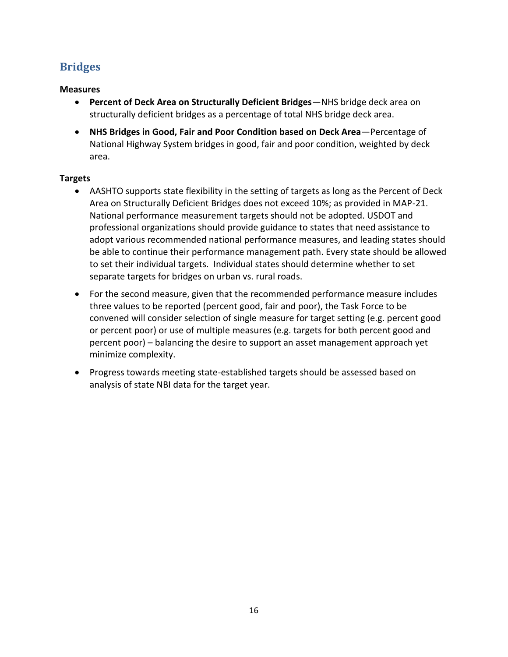### <span id="page-15-0"></span>**Bridges**

#### **Measures**

- **Percent of Deck Area on Structurally Deficient Bridges**—NHS bridge deck area on structurally deficient bridges as a percentage of total NHS bridge deck area.
- **NHS Bridges in Good, Fair and Poor Condition based on Deck Area**—Percentage of National Highway System bridges in good, fair and poor condition, weighted by deck area.

#### **Targets**

- AASHTO supports state flexibility in the setting of targets as long as the Percent of Deck Area on Structurally Deficient Bridges does not exceed 10%; as provided in MAP-21. National performance measurement targets should not be adopted. USDOT and professional organizations should provide guidance to states that need assistance to adopt various recommended national performance measures, and leading states should be able to continue their performance management path. Every state should be allowed to set their individual targets. Individual states should determine whether to set separate targets for bridges on urban vs. rural roads.
- For the second measure, given that the recommended performance measure includes three values to be reported (percent good, fair and poor), the Task Force to be convened will consider selection of single measure for target setting (e.g. percent good or percent poor) or use of multiple measures (e.g. targets for both percent good and percent poor) – balancing the desire to support an asset management approach yet minimize complexity.
- Progress towards meeting state-established targets should be assessed based on analysis of state NBI data for the target year.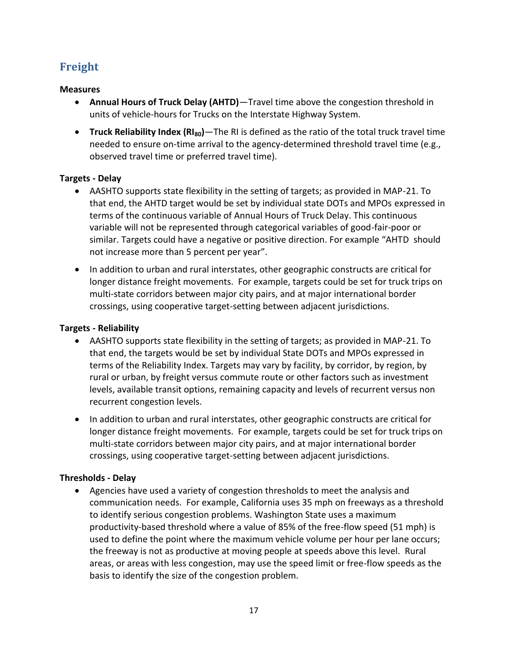### <span id="page-16-0"></span>**Freight**

#### **Measures**

- **Annual Hours of Truck Delay (AHTD)**—Travel time above the congestion threshold in units of vehicle-hours for Trucks on the Interstate Highway System.
- **Truck Reliability Index (RI80)**—The RI is defined as the ratio of the total truck travel time needed to ensure on-time arrival to the agency-determined threshold travel time (e.g., observed travel time or preferred travel time).

#### **Targets - Delay**

- AASHTO supports state flexibility in the setting of targets; as provided in MAP-21. To that end, the AHTD target would be set by individual state DOTs and MPOs expressed in terms of the continuous variable of Annual Hours of Truck Delay. This continuous variable will not be represented through categorical variables of good-fair-poor or similar. Targets could have a negative or positive direction. For example "AHTD should not increase more than 5 percent per year".
- In addition to urban and rural interstates, other geographic constructs are critical for longer distance freight movements. For example, targets could be set for truck trips on multi-state corridors between major city pairs, and at major international border crossings, using cooperative target-setting between adjacent jurisdictions.

#### **Targets - Reliability**

- AASHTO supports state flexibility in the setting of targets; as provided in MAP-21. To that end, the targets would be set by individual State DOTs and MPOs expressed in terms of the Reliability Index. Targets may vary by facility, by corridor, by region, by rural or urban, by freight versus commute route or other factors such as investment levels, available transit options, remaining capacity and levels of recurrent versus non recurrent congestion levels.
- In addition to urban and rural interstates, other geographic constructs are critical for longer distance freight movements. For example, targets could be set for truck trips on multi-state corridors between major city pairs, and at major international border crossings, using cooperative target-setting between adjacent jurisdictions.

#### **Thresholds - Delay**

 Agencies have used a variety of congestion thresholds to meet the analysis and communication needs. For example, California uses 35 mph on freeways as a threshold to identify serious congestion problems. Washington State uses a maximum productivity-based threshold where a value of 85% of the free-flow speed (51 mph) is used to define the point where the maximum vehicle volume per hour per lane occurs; the freeway is not as productive at moving people at speeds above this level. Rural areas, or areas with less congestion, may use the speed limit or free-flow speeds as the basis to identify the size of the congestion problem.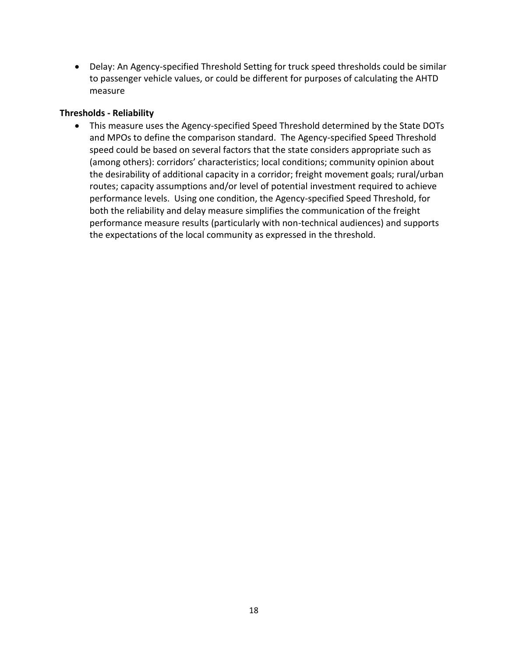Delay: An Agency-specified Threshold Setting for truck speed thresholds could be similar to passenger vehicle values, or could be different for purposes of calculating the AHTD measure

#### **Thresholds - Reliability**

 This measure uses the Agency-specified Speed Threshold determined by the State DOTs and MPOs to define the comparison standard. The Agency-specified Speed Threshold speed could be based on several factors that the state considers appropriate such as (among others): corridors' characteristics; local conditions; community opinion about the desirability of additional capacity in a corridor; freight movement goals; rural/urban routes; capacity assumptions and/or level of potential investment required to achieve performance levels. Using one condition, the Agency-specified Speed Threshold, for both the reliability and delay measure simplifies the communication of the freight performance measure results (particularly with non-technical audiences) and supports the expectations of the local community as expressed in the threshold.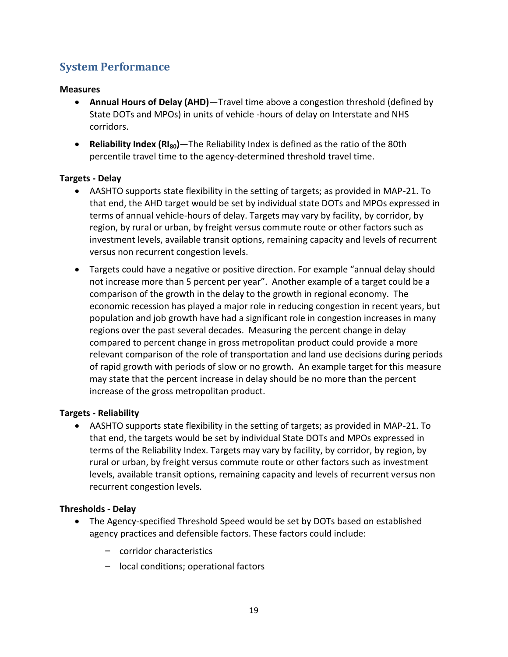### <span id="page-18-0"></span>**System Performance**

#### **Measures**

- **Annual Hours of Delay (AHD)**—Travel time above a congestion threshold (defined by State DOTs and MPOs) in units of vehicle -hours of delay on Interstate and NHS corridors.
- **Reliability Index (RI80)**—The Reliability Index is defined as the ratio of the 80th percentile travel time to the agency-determined threshold travel time.

#### **Targets - Delay**

- AASHTO supports state flexibility in the setting of targets; as provided in MAP-21. To that end, the AHD target would be set by individual state DOTs and MPOs expressed in terms of annual vehicle-hours of delay. Targets may vary by facility, by corridor, by region, by rural or urban, by freight versus commute route or other factors such as investment levels, available transit options, remaining capacity and levels of recurrent versus non recurrent congestion levels.
- Targets could have a negative or positive direction. For example "annual delay should not increase more than 5 percent per year". Another example of a target could be a comparison of the growth in the delay to the growth in regional economy. The economic recession has played a major role in reducing congestion in recent years, but population and job growth have had a significant role in congestion increases in many regions over the past several decades. Measuring the percent change in delay compared to percent change in gross metropolitan product could provide a more relevant comparison of the role of transportation and land use decisions during periods of rapid growth with periods of slow or no growth. An example target for this measure may state that the percent increase in delay should be no more than the percent increase of the gross metropolitan product.

#### **Targets - Reliability**

 AASHTO supports state flexibility in the setting of targets; as provided in MAP-21. To that end, the targets would be set by individual State DOTs and MPOs expressed in terms of the Reliability Index. Targets may vary by facility, by corridor, by region, by rural or urban, by freight versus commute route or other factors such as investment levels, available transit options, remaining capacity and levels of recurrent versus non recurrent congestion levels.

#### **Thresholds - Delay**

- The Agency-specified Threshold Speed would be set by DOTs based on established agency practices and defensible factors. These factors could include:
	- corridor characteristics
	- local conditions; operational factors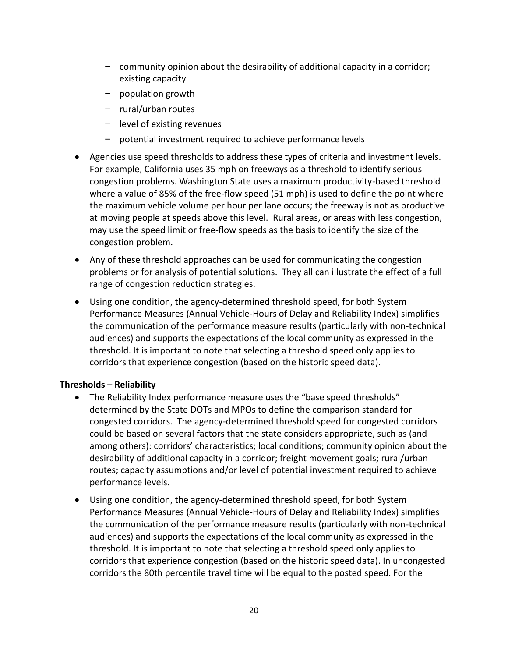- community opinion about the desirability of additional capacity in a corridor; existing capacity
- population growth
- rural/urban routes
- level of existing revenues
- potential investment required to achieve performance levels
- Agencies use speed thresholds to address these types of criteria and investment levels. For example, California uses 35 mph on freeways as a threshold to identify serious congestion problems. Washington State uses a maximum productivity-based threshold where a value of 85% of the free-flow speed (51 mph) is used to define the point where the maximum vehicle volume per hour per lane occurs; the freeway is not as productive at moving people at speeds above this level. Rural areas, or areas with less congestion, may use the speed limit or free-flow speeds as the basis to identify the size of the congestion problem.
- Any of these threshold approaches can be used for communicating the congestion problems or for analysis of potential solutions. They all can illustrate the effect of a full range of congestion reduction strategies.
- Using one condition, the agency-determined threshold speed, for both System Performance Measures (Annual Vehicle-Hours of Delay and Reliability Index) simplifies the communication of the performance measure results (particularly with non-technical audiences) and supports the expectations of the local community as expressed in the threshold. It is important to note that selecting a threshold speed only applies to corridors that experience congestion (based on the historic speed data).

#### **Thresholds – Reliability**

- The Reliability Index performance measure uses the "base speed thresholds" determined by the State DOTs and MPOs to define the comparison standard for congested corridors. The agency-determined threshold speed for congested corridors could be based on several factors that the state considers appropriate, such as (and among others): corridors' characteristics; local conditions; community opinion about the desirability of additional capacity in a corridor; freight movement goals; rural/urban routes; capacity assumptions and/or level of potential investment required to achieve performance levels.
- Using one condition, the agency-determined threshold speed, for both System Performance Measures (Annual Vehicle-Hours of Delay and Reliability Index) simplifies the communication of the performance measure results (particularly with non-technical audiences) and supports the expectations of the local community as expressed in the threshold. It is important to note that selecting a threshold speed only applies to corridors that experience congestion (based on the historic speed data). In uncongested corridors the 80th percentile travel time will be equal to the posted speed. For the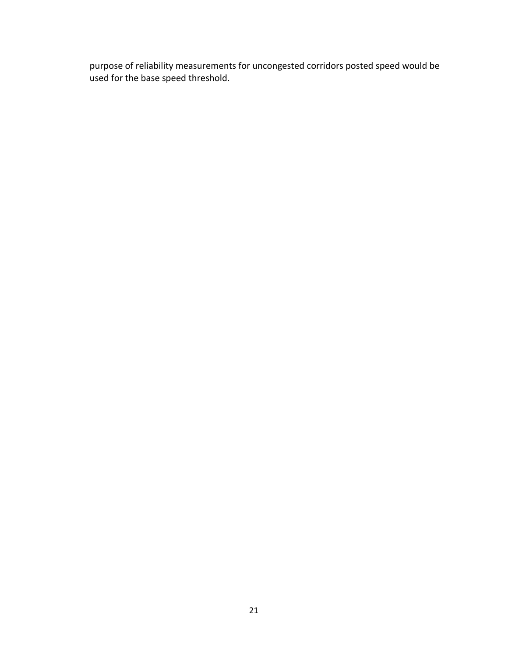purpose of reliability measurements for uncongested corridors posted speed would be used for the base speed threshold.